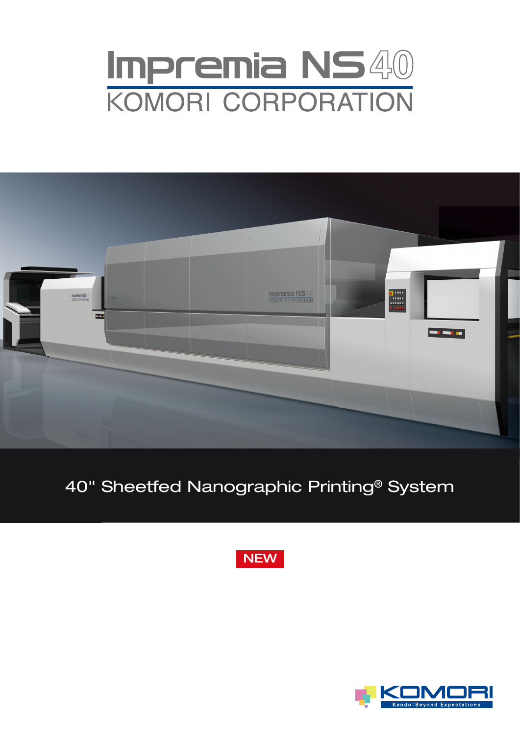# Impremia NS40<br>KOMORI CORPORATION



## 40" Sheetfed Nanographic Printing® System